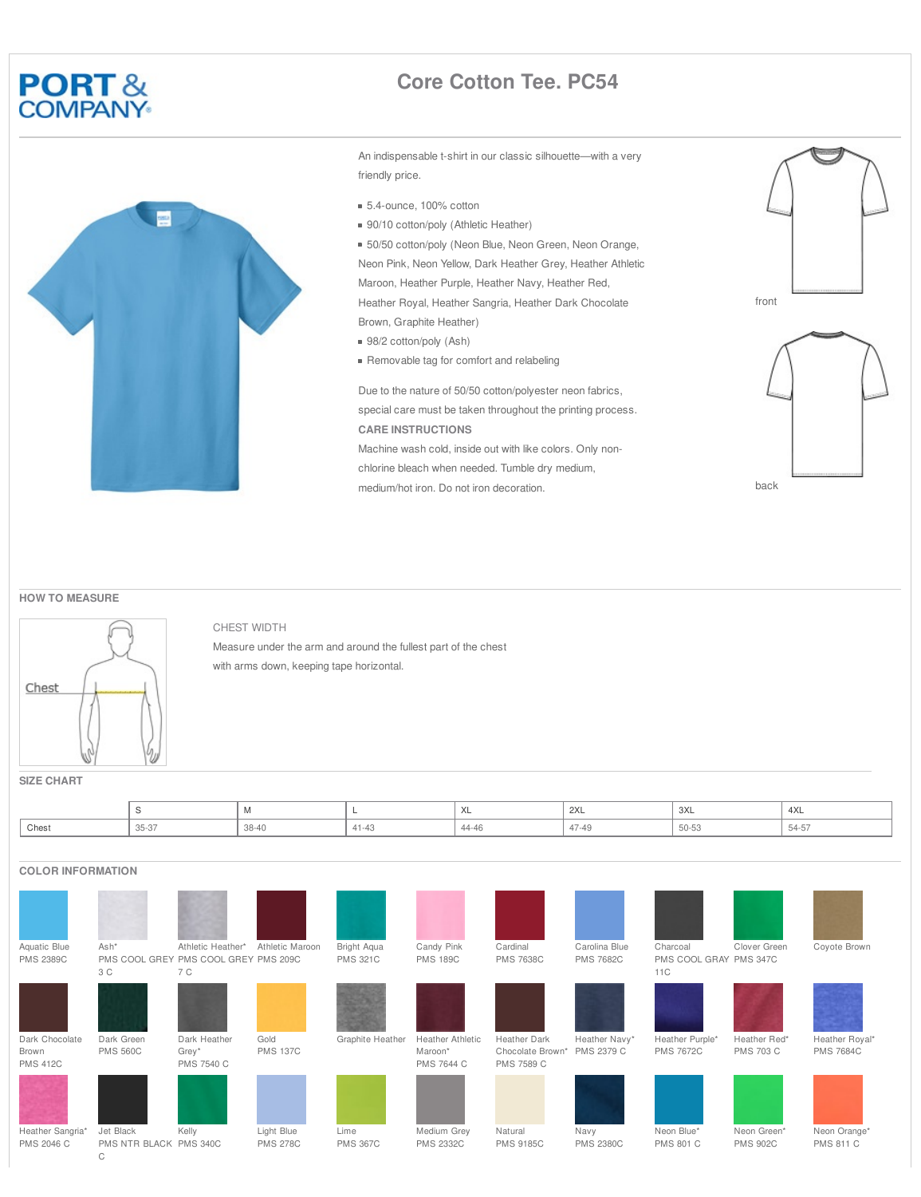## **PORT&**<br>COMPANY



## **Core Cotton Tee. PC54**

An indispensable t-shirt in our classic silhouette—with a very friendly price.

- 5.4-ounce, 100% cotton
- 90/10 cotton/poly (Athletic Heather)

■ 50/50 cotton/poly (Neon Blue, Neon Green, Neon Orange, Neon Pink, Neon Yellow, Dark Heather Grey, Heather Athletic Maroon, Heather Purple, Heather Navy, Heather Red, Heather Royal, Heather Sangria, Heather Dark Chocolate

- Brown, Graphite Heather) ■ 98/2 cotton/poly (Ash)
- Removable tag for comfort and relabeling

Due to the nature of 50/50 cotton/polyester neon fabrics, special care must be taken throughout the printing process. **CARE INSTRUCTIONS** Machine wash cold, inside out with like colors. Only nonchlorine bleach when needed. Tumble dry medium, medium/hot iron. Do not iron decoration.





**HOW TO MEASURE**



CHEST WIDTH

Measure under the arm and around the fullest part of the chest with arms down, keeping tape horizontal.

|       |                  | .     |              | $\lambda$<br>ᄉ | 2XL               | 3XL<br>$\sim$     | 4XL          |
|-------|------------------|-------|--------------|----------------|-------------------|-------------------|--------------|
| Chest | $ \sim$<br>35-37 | 38-40 | . .<br>----- | 44-46<br>.     | 47-49<br>$\cdots$ | $h(1-h)$<br>JU-JJ | $-$<br>54-57 |

## **COLOR INFORMATION**